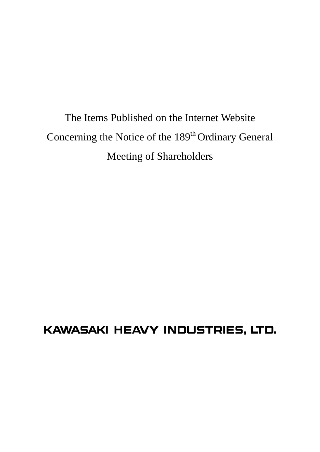The Items Published on the Internet Website Concerning the Notice of the 189<sup>th</sup> Ordinary General Meeting of Shareholders

# KAWASAKI HEAVY INDUSTRIES, LTD.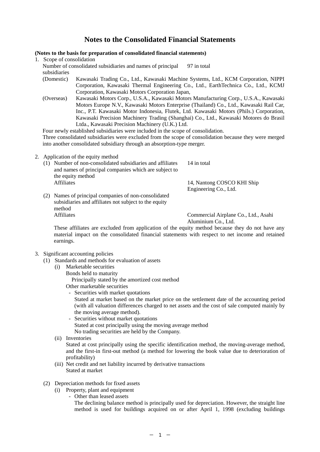# **Notes to the Consolidated Financial Statements**

# **(Notes to the basis for preparation of consolidated financial statements)**

1. Scope of consolidation

Number of consolidated subsidiaries and names of principal subsidiaries 97 in total

- (Domestic) Kawasaki Trading Co., Ltd., Kawasaki Machine Systems, Ltd., KCM Corporation, NIPPI Corporation, Kawasaki Thermal Engineering Co., Ltd., EarthTechnica Co., Ltd., KCMJ Corporation, Kawasaki Motors Corporation Japan,
- (Overseas) Kawasaki Motors Corp., U.S.A., Kawasaki Motors Manufacturing Corp., U.S.A., Kawasaki Motors Europe N.V., Kawasaki Motors Enterprise (Thailand) Co., Ltd., Kawasaki Rail Car, Inc., P.T. Kawasaki Motor Indonesia, Flutek, Ltd. Kawasaki Motors (Phils.) Corporation, Kawasaki Precision Machinery Trading (Shanghai) Co., Ltd., Kawasaki Motores do Brasil Ltda., Kawasaki Precision Machinery (U.K.) Ltd.

Four newly established subsidiaries were included in the scope of consolidation. Three consolidated subsidiaries were excluded from the scope of consolidation because they were merged into another consolidated subsidiary through an absorption-type merger.

- 2. Application of the equity method
	- (1) Number of non-consolidated subsidiaries and affiliates and names of principal companies which are subject to the equity method 14 in total Affiliates 14, Nantong COSCO KHI Ship Engineering Co., Ltd. (2) Names of principal companies of non-consolidated

subsidiaries and affiliates not subject to the equity method Affiliates Commercial Airplane Co., Ltd., Asahi

Aluminium Co., Ltd.

These affiliates are excluded from application of the equity method because they do not have any material impact on the consolidated financial statements with respect to net income and retained earnings.

- 3. Significant accounting policies
	- (1) Standards and methods for evaluation of assets
		- (i) Marketable securities
			- Bonds held to maturity Principally stated by the amortized cost method Other marketable securities
				- Securities with market quotations

Stated at market based on the market price on the settlement date of the accounting period (with all valuation differences charged to net assets and the cost of sale computed mainly by the moving average method).

- Securities without market quotations Stated at cost principally using the moving average method No trading securities are held by the Company.
- (ii) Inventories

Stated at cost principally using the specific identification method, the moving-average method, and the first-in first-out method (a method for lowering the book value due to deterioration of profitability)

- (iii) Net credit and net liability incurred by derivative transactions Stated at market
- (2) Depreciation methods for fixed assets
	- (i) Property, plant and equipment
		- Other than leased assets

The declining balance method is principally used for depreciation. However, the straight line method is used for buildings acquired on or after April 1, 1998 (excluding buildings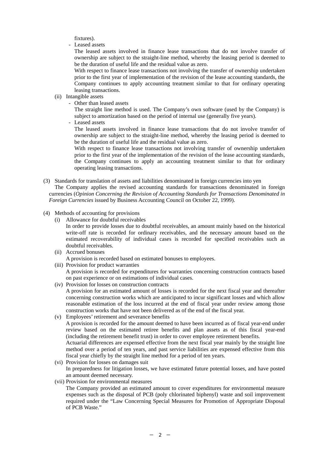fixtures).

- Leased assets

The leased assets involved in finance lease transactions that do not involve transfer of ownership are subject to the straight-line method, whereby the leasing period is deemed to be the duration of useful life and the residual value as zero.

With respect to finance lease transactions not involving the transfer of ownership undertaken prior to the first year of implementation of the revision of the lease accounting standards, the Company continues to apply accounting treatment similar to that for ordinary operating leasing transactions.

- (ii) Intangible assets
	- Other than leased assets

The straight line method is used. The Company's own software (used by the Company) is subject to amortization based on the period of internal use (generally five years).

- Leased assets

The leased assets involved in finance lease transactions that do not involve transfer of ownership are subject to the straight-line method, whereby the leasing period is deemed to be the duration of useful life and the residual value as zero.

With respect to finance lease transactions not involving transfer of ownership undertaken prior to the first year of the implementation of the revision of the lease accounting standards, the Company continues to apply an accounting treatment similar to that for ordinary operating leasing transactions.

(3) Standards for translation of assets and liabilities denominated in foreign currencies into yen The Company applies the revised accounting standards for transactions denominated in foreign

currencies (*Opinion Concerning the Revision of Accounting Standards for Transactions Denominated in Foreign Currencies* issued by Business Accounting Council on October 22, 1999).

- (4) Methods of accounting for provisions
	- (i) Allowance for doubtful receivables

In order to provide losses due to doubtful receivables, an amount mainly based on the historical write-off rate is recorded for ordinary receivables, and the necessary amount based on the estimated recoverability of individual cases is recorded for specified receivables such as doubtful receivables.

- (ii) Accrued bonuses A provision is recorded based on estimated bonuses to employees.
- (iii) Provision for product warranties

A provision is recorded for expenditures for warranties concerning construction contracts based on past experience or on estimations of individual cases.

- (iv) Provision for losses on construction contracts A provision for an estimated amount of losses is recorded for the next fiscal year and thereafter concerning construction works which are anticipated to incur significant losses and which allow reasonable estimation of the loss incurred at the end of fiscal year under review among those construction works that have not been delivered as of the end of the fiscal year.
- (v) Employees' retirement and severance benefits A provision is recorded for the amount deemed to have been incurred as of fiscal year-end under review based on the estimated retiree benefits and plan assets as of this fiscal year-end (including the retirement benefit trust) in order to cover employee retirement benefits. Actuarial differences are expensed effective from the next fiscal year mainly by the straight line method over a period of ten years, and past service liabilities are expensed effective from this fiscal year chiefly by the straight line method for a period of ten years.
- (vi) Provision for losses on damages suit In preparedness for litigation losses, we have estimated future potential losses, and have posted an amount deemed necessary.
- (vii) Provision for environmental measures The Company provided an estimated amount to cover expenditures for environmental measure expenses such as the disposal of PCB (poly chlorinated biphenyl) waste and soil improvement required under the "Law Concerning Special Measures for Promotion of Appropriate Disposal of PCB Waste."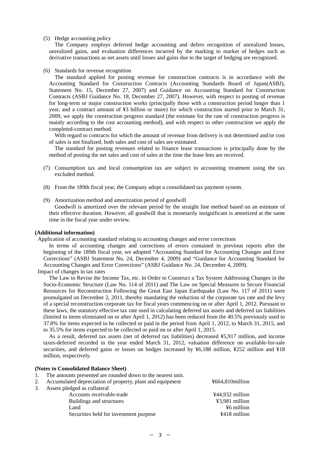#### (5) Hedge accounting policy

The Company employs deferred hedge accounting and defers recognition of unrealized losses, unrealized gains, and evaluation differences incurred by the marking to market of hedges such as derivative transactions as net assets until losses and gains due to the target of hedging are recognized.

#### (6) Standards for revenue recognition

The standard applied for posting revenue for construction contracts is in accordance with the Accounting Standard for Construction Contracts (Accounting Standards Board of Japan(ASBJ), Statement No. 15, December 27, 2007) and Guidance on Accounting Standard for Construction Contracts (ASBJ Guidance No. 18, December 27, 2007). However, with respect to posting of revenue for long-term or major construction works (principally those with a construction period longer than 1 year, and a contract amount of ¥3 billion or more) for which construction started prior to March 31, 2009, we apply the construction progress standard (the estimate for the rate of construction progress is mainly according to the cost accounting method), and with respect to other construction we apply the completed-contract method.

With regard to contracts for which the amount of revenue from delivery is not determined and/or cost of sales is not finalized, both sales and cost of sales are estimated.

The standard for posting revenues related to finance lease transactions is principally done by the method of posting the net sales and cost of sales at the time the lease fees are received.

- (7) Consumption tax and local consumption tax are subject to accounting treatment using the tax excluded method.
- (8) From the 189th fiscal year, the Company adopt a consolidated tax payment system.
- (9) Amortization method and amortization period of goodwill

Goodwill is amortized over the relevant period by the straight line method based on an estimate of their effective duration. However, all goodwill that is monetarily insignificant is amortized at the same time in the fiscal year under review.

#### **(Additional information)**

Application of accounting standard relating to accounting changes and error corrections

In terms of accounting changes and corrections of errors contained in previous reports after the beginning of the 189th fiscal year, we adopted "Accounting Standard for Accounting Changes and Error Corrections" (ASBJ Statement No. 24, December 4, 2009) and "Guidance for Accounting Standard for Accounting Changes and Error Corrections" (ASBJ Guidance No. 24, December 4, 2009).

Impact of changes in tax rates

The Law to Revise the Income Tax, etc. in Order to Construct a Tax System Addressing Changes in the Socio-Economic Structure (Law No. 114 of 2011) and The Law on Special Measures to Secure Financial Resources for Reconstruction Following the Great East Japan Earthquake (Law No. 117 of 2011) were promulgated on December 2, 2011, thereby mandating the reduction of the corporate tax rate and the levy of a special reconstruction corporate tax for fiscal years commencing on or after April 1, 2012. Pursuant to these laws, the statutory effective tax rate used in calculating deferred tax assets and deferred tax liabilities (limited to items eliminated on or after April 1, 2012) has been reduced from the 40.5% previously used to 37.8% for items expected to be collected or paid in the period from April 1, 2012, to March 31, 2015, and to 35.5% for items expected to be collected or paid on or after April 1, 2015.

As a result, deferred tax assets (net of deferred tax liabilities) decreased ¥5,917 million, and income taxes-deferred recorded in the year ended March 31, 2012, valuation difference on available-for-sale securities, and deferred gains or losses on hedges increased by ¥6,188 million, ¥252 million and ¥18 million, respectively.

#### **(Notes to Consolidated Balance Sheet)**

1. The amounts presented are rounded down to the nearest unit.

| Accumulated depreciation of property, plant and equipment | ¥664.810million |
|-----------------------------------------------------------|-----------------|
| Assets pledged as collateral                              |                 |
| Accounts receivable-trade                                 | ¥44.932 million |

| Accounts receivable-trade              | $444.932$ million |
|----------------------------------------|-------------------|
| Buildings and structures               | $43.981$ million  |
| Land                                   | ¥6 million        |
| Securities held for investment purpose | $4418$ million    |
|                                        |                   |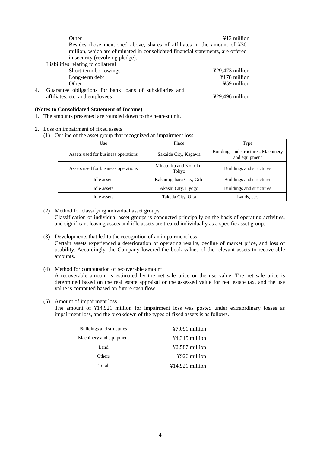|    | Other<br>Besides those mentioned above, shares of affiliates in the amount of ¥30<br>million, which are eliminated in consolidated financial statements, are offered<br>in security (revolving pledge).<br>Liabilities relating to collateral | $413$ million                        |
|----|-----------------------------------------------------------------------------------------------------------------------------------------------------------------------------------------------------------------------------------------------|--------------------------------------|
|    | Short-term borrowings                                                                                                                                                                                                                         | $\text{\textsterling}29,473$ million |
|    | Long-term debt                                                                                                                                                                                                                                | $¥178$ million                       |
|    | Other                                                                                                                                                                                                                                         | ¥59 million                          |
| 4. | Guarantee obligations for bank loans of subsidiaries and                                                                                                                                                                                      |                                      |
|    | affiliates, etc. and employees                                                                                                                                                                                                                | $\text{\textsterling}29.496$ million |

# **(Notes to Consolidated Statement of Income)**

- 1. The amounts presented are rounded down to the nearest unit.
- 2. Loss on impairment of fixed assets
	- (1) Outline of the asset group that recognized an impairment loss

| Use                                 | Place                           | Type                                                 |
|-------------------------------------|---------------------------------|------------------------------------------------------|
| Assets used for business operations | Sakaide City, Kagawa            | Buildings and structures, Machinery<br>and equipment |
| Assets used for business operations | Minato-ku and Koto-ku,<br>Tokyo | Buildings and structures                             |
| Idle assets                         | Kakamigahara City, Gifu         | Buildings and structures                             |
| Idle assets                         | Akashi City, Hyogo              | Buildings and structures                             |
| Idle assets                         | Takeda City, Oita               | Lands, etc.                                          |

(2) Method for classifying individual asset groups Classification of individual asset groups is conducted principally on the basis of operating activities, and significant leasing assets and idle assets are treated individually as a specific asset group.

- (3) Developments that led to the recognition of an impairment loss Certain assets experienced a deterioration of operating results, decline of market price, and loss of usability. Accordingly, the Company lowered the book values of the relevant assets to recoverable amounts.
- (4) Method for computation of recoverable amount

A recoverable amount is estimated by the net sale price or the use value. The net sale price is determined based on the real estate appraisal or the assessed value for real estate tax, and the use value is computed based on future cash flow.

(5) Amount of impairment loss

The amount of ¥14,921 million for impairment loss was posted under extraordinary losses as impairment loss, and the breakdown of the types of fixed assets is as follows.

| Buildings and structures | $47,091$ million  |
|--------------------------|-------------------|
| Machinery and equipment  | $44,315$ million  |
| Land                     | $42,587$ million  |
| <b>Others</b>            | ¥926 million      |
| Total                    | $¥14,921$ million |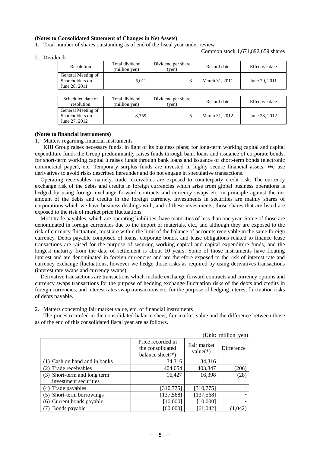#### **(Notes to Consolidated Statement of Changes in Net Assets)**

1. Total number of shares outstanding as of end of the fiscal year under review

Common stock 1,671,892,659 shares

|  |  | Dividends |
|--|--|-----------|
|--|--|-----------|

| uus                                                    |                                 |                             |                |                |
|--------------------------------------------------------|---------------------------------|-----------------------------|----------------|----------------|
| Resolution                                             | Total dividend<br>(million ven) | Dividend per share<br>(ven) | Record date    | Effective date |
| General Meeting of<br>Shareholders on<br>June 28, 2011 | 5,011                           |                             | March 31, 2011 | June 29, 2011  |
|                                                        |                                 |                             |                |                |

| Scheduled date of<br>resolution                        | Total dividend<br>(million yen) | Dividend per share<br>(ven | Record date    | Effective date |
|--------------------------------------------------------|---------------------------------|----------------------------|----------------|----------------|
| General Meeting of<br>Shareholders on<br>June 27, 2012 | 8.359                           |                            | March 31, 2012 | June 28, 2012  |

#### **(Notes to financial instruments)**

#### 1. Matters regarding financial instruments

KHI Group raises necessary funds, in light of its business plans; for long-term working capital and capital expenditure funds the Group predominantly raises funds through bank loans and issuance of corporate bonds, for short-term working capital it raises funds through bank loans and issuance of short-term bonds (electronic commercial paper), etc. Temporary surplus funds are invested in highly secure financial assets. We use derivatives to avoid risks described hereunder and do not engage in speculative transactions.

Operating receivables, namely, trade receivables are exposed to counterparty credit risk. The currency exchange risk of the debts and credits in foreign currencies which arise from global business operations is hedged by using foreign exchange forward contracts and currency swaps etc. in principle against the net amount of the debts and credits in the foreign currency. Investments in securities are mainly shares of corporations which we have business dealings with, and of these investments, those shares that are listed are exposed to the risk of market price fluctuations.

Most trade payables, which are operating liabilities, have maturities of less than one year. Some of those are denominated in foreign currencies due to the import of materials, etc., and although they are exposed to the risk of currency fluctuation, most are within the limit of the balance of accounts receivable in the same foreign currency. Debts payable composed of loans, corporate bonds, and lease obligations related to finance lease transactions are raised for the purpose of securing working capital and capital expenditure funds, and the longest maturity from the date of settlement is about 10 years. Some of those instruments have floating interest and are denominated in foreign currencies and are therefore exposed to the risk of interest rate and currency exchange fluctuations, however we hedge those risks as required by using derivatives transactions (interest rate swaps and currency swaps).

Derivative transactions are transactions which include exchange forward contracts and currency options and currency swaps transactions for the purpose of hedging exchange fluctuation risks of the debts and credits in foreign currencies, and interest rates swap transactions etc. for the purpose of hedging interest fluctuation risks of debts payable.

2. Matters concerning fair market value, etc. of financial instruments

The prices recorded in the consolidated balance sheet, fair market value and the difference between those as of the end of this consolidated fiscal year are as follows.

|                               |                                                               |                           | (Unit: million yen) |
|-------------------------------|---------------------------------------------------------------|---------------------------|---------------------|
|                               | Price recorded in<br>the consolidated<br>balance sheet( $*$ ) | Fair market<br>$value(*)$ | Difference          |
| (1) Cash on hand and in banks | 34,316                                                        | 34,316                    |                     |
| Trade receivables             | 404,054                                                       | 403,847                   | (206)               |
| (3) Short-term and long term  | 16,427                                                        | 16,398                    | (28)                |
| investment securities         |                                                               |                           |                     |
| (4) Trade payables            | [310, 775]                                                    | [310, 775]                |                     |
| (5) Short-term borrowings     | [137, 568]                                                    | [137, 568]                |                     |
| (6) Current bonds payable     | [10,000]                                                      | [10,000]                  |                     |
| (7) Bonds payable             | [60,000]                                                      | [61,042]                  | (1,042)             |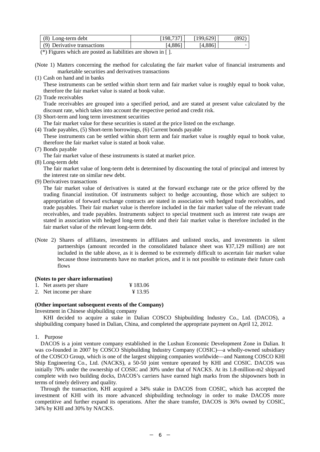| (8)<br>Long-term debt          | 087371                | 100.6201 |  |
|--------------------------------|-----------------------|----------|--|
| (9)<br>Derivative transactions | $,4,886$ <sup>1</sup> | (4,886)  |  |

(\*) Figures which are posted as liabilities are shown in [ ].

- (Note 1) Matters concerning the method for calculating the fair market value of financial instruments and marketable securities and derivatives transactions
- (1) Cash on hand and in banks

These instruments can be settled within short term and fair market value is roughly equal to book value, therefore the fair market value is stated at book value.

(2) Trade receivables

Trade receivables are grouped into a specified period, and are stated at present value calculated by the discount rate, which takes into account the respective period and credit risk.

(3) Short-term and long term investment securities

The fair market value for these securities is stated at the price listed on the exchange.

- (4) Trade payables, (5) Short-term borrowings, (6) Current bonds payable These instruments can be settled within short term and fair market value is roughly equal to book value, therefore the fair market value is stated at book value.
- (7) Bonds payable

The fair market value of these instruments is stated at market price.

(8) Long-term debt

The fair market value of long-term debt is determined by discounting the total of principal and interest by the interest rate on similar new debt.

(9) Derivatives transactions

The fair market value of derivatives is stated at the forward exchange rate or the price offered by the trading financial institution. Of instruments subject to hedge accounting, those which are subject to appropriation of forward exchange contracts are stated in association with hedged trade receivables, and trade payables. Their fair market value is therefore included in the fair market value of the relevant trade receivables, and trade payables. Instruments subject to special treatment such as interest rate swaps are stated in association with hedged long-term debt and their fair market value is therefore included in the fair market value of the relevant long-term debt.

(Note 2) Shares of affiliates, investments in affiliates and unlisted stocks, and investments in silent partnerships (amount recorded in the consolidated balance sheet was ¥37,129 million) are not included in the table above, as it is deemed to be extremely difficult to ascertain fair market value because those instruments have no market prices, and it is not possible to estimate their future cash flows

### **(Notes to per share information)**

| 1. Net assets per share | ¥ 183.06 |
|-------------------------|----------|
| 2. Net income per share | ¥ 13.95  |

## **(Other important subsequent events of the Company)**

Investment in Chinese shipbuilding company

KHI decided to acquire a stake in Dalian COSCO Shipbuilding Industry Co., Ltd. (DACOS), a shipbuilding company based in Dalian, China, and completed the appropriate payment on April 12, 2012.

### 1. Purpose

DACOS is a joint venture company established in the Lushun Economic Development Zone in Dalian. It was co-founded in 2007 by COSCO Shipbuilding Industry Company (COSIC)—a wholly-owned subsidiary of the COSCO Group, which is one of the largest shipping companies worldwide—and Nantong COSCO KHI Ship Engineering Co., Ltd. (NACKS), a 50-50 joint venture operated by KHI and COSIC. DACOS was initially 70% under the ownership of COSIC and 30% under that of NACKS. At its 1.8-million-m2 shipyard complete with two building docks, DACOS's carriers have earned high marks from the shipowners both in terms of timely delivery and quality.

Through the transaction, KHI acquired a 34% stake in DACOS from COSIC, which has accepted the investment of KHI with its more advanced shipbuilding technology in order to make DACOS more competitive and further expand its operations. After the share transfer, DACOS is 36% owned by COSIC, 34% by KHI and 30% by NACKS.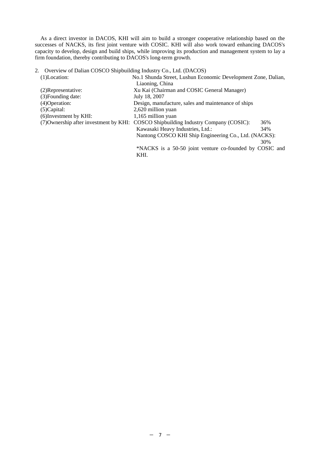As a direct investor in DACOS, KHI will aim to build a stronger cooperative relationship based on the successes of NACKS, its first joint venture with COSIC. KHI will also work toward enhancing DACOS's capacity to develop, design and build ships, while improving its production and management system to lay a firm foundation, thereby contributing to DACOS's long-term growth.

# 2. Overview of Dalian COSCO Shipbuilding Industry Co., Ltd. (DACOS)

| $(1)$ Location:        | No.1 Shunda Street, Lushun Economic Development Zone, Dalian,                              |
|------------------------|--------------------------------------------------------------------------------------------|
|                        | Liaoning, China                                                                            |
| (2) Representative:    | Xu Kai (Chairman and COSIC General Manager)                                                |
| (3) Founding date:     | July 18, 2007                                                                              |
| $(4)$ Operation:       | Design, manufacture, sales and maintenance of ships                                        |
| $(5)$ Capital:         | 2,620 million yuan                                                                         |
| (6) Investment by KHI: | 1,165 million yuan                                                                         |
|                        | (7) Ownership after investment by KHI: COSCO Shipbuilding Industry Company (COSIC):<br>36% |
|                        | Kawasaki Heavy Industries, Ltd.:<br>34%                                                    |
|                        | Nantong COSCO KHI Ship Engineering Co., Ltd. (NACKS):                                      |
|                        | 30%                                                                                        |
|                        | *NACKS is a 50-50 joint venture co-founded by COSIC and                                    |
|                        | KHI.                                                                                       |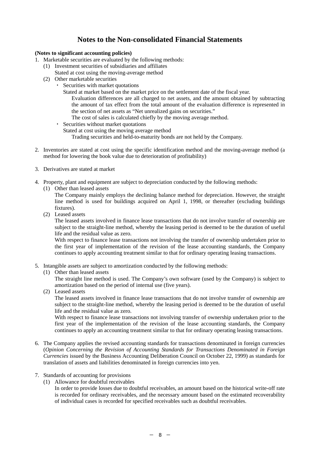# **Notes to the Non-consolidated Financial Statements**

# **(Notes to significant accounting policies)**

- 1. Marketable securities are evaluated by the following methods:
	- (1) Investment securities of subsidiaries and affiliates
	- Stated at cost using the moving-average method
	- (2) Other marketable securities
		- Securities with market quotations
			- Stated at market based on the market price on the settlement date of the fiscal year.
				- Evaluation differences are all charged to net assets, and the amount obtained by subtracting the amount of tax effect from the total amount of the evaluation difference is represented in the section of net assets as "Net unrealized gains on securities."
				- The cost of sales is calculated chiefly by the moving average method.
		- ・ Securities without market quotations
			- Stated at cost using the moving average method
				- Trading securities and held-to-maturity bonds are not held by the Company.
- 2. Inventories are stated at cost using the specific identification method and the moving-average method (a method for lowering the book value due to deterioration of profitability)
- 3. Derivatives are stated at market
- 4. Property, plant and equipment are subject to depreciation conducted by the following methods:
	- (1) Other than leased assets
		- The Company mainly employs the declining balance method for depreciation. However, the straight line method is used for buildings acquired on April 1, 1998, or thereafter (excluding buildings fixtures).
	- (2) Leased assets

The leased assets involved in finance lease transactions that do not involve transfer of ownership are subject to the straight-line method, whereby the leasing period is deemed to be the duration of useful life and the residual value as zero.

With respect to finance lease transactions not involving the transfer of ownership undertaken prior to the first year of implementation of the revision of the lease accounting standards, the Company continues to apply accounting treatment similar to that for ordinary operating leasing transactions.

- 5. Intangible assets are subject to amortization conducted by the following methods:
	- (1) Other than leased assets

The straight line method is used. The Company's own software (used by the Company) is subject to amortization based on the period of internal use (five years).

(2) Leased assets

The leased assets involved in finance lease transactions that do not involve transfer of ownership are subject to the straight-line method, whereby the leasing period is deemed to be the duration of useful life and the residual value as zero.

With respect to finance lease transactions not involving transfer of ownership undertaken prior to the first year of the implementation of the revision of the lease accounting standards, the Company continues to apply an accounting treatment similar to that for ordinary operating leasing transactions.

- 6. The Company applies the revised accounting standards for transactions denominated in foreign currencies (*Opinion Concerning the Revision of Accounting Standards for Transactions Denominated in Foreign Currencies* issued by the Business Accounting Deliberation Council on October 22, 1999) as standards for translation of assets and liabilities denominated in foreign currencies into yen.
- 7. Standards of accounting for provisions
	- (1) Allowance for doubtful receivables
		- In order to provide losses due to doubtful receivables, an amount based on the historical write-off rate is recorded for ordinary receivables, and the necessary amount based on the estimated recoverability of individual cases is recorded for specified receivables such as doubtful receivables.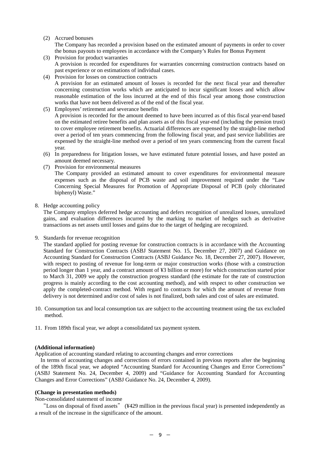# (2) Accrued bonuses

The Company has recorded a provision based on the estimated amount of payments in order to cover the bonus payouts to employees in accordance with the Company's Rules for Bonus Payment

- (3) Provision for product warranties A provision is recorded for expenditures for warranties concerning construction contracts based on past experience or on estimations of individual cases.
- (4) Provision for losses on construction contracts A provision for an estimated amount of losses is recorded for the next fiscal year and thereafter concerning construction works which are anticipated to incur significant losses and which allow reasonable estimation of the loss incurred at the end of this fiscal year among those construction works that have not been delivered as of the end of the fiscal year.
- (5) Employees' retirement and severance benefits

A provision is recorded for the amount deemed to have been incurred as of this fiscal year-end based on the estimated retiree benefits and plan assets as of this fiscal year-end (including the pension trust) to cover employee retirement benefits. Actuarial differences are expensed by the straight-line method over a period of ten years commencing from the following fiscal year, and past service liabilities are expensed by the straight-line method over a period of ten years commencing from the current fiscal year.

- (6) In preparedness for litigation losses, we have estimated future potential losses, and have posted an amount deemed necessary.
- (7) Provision for environmental measures

The Company provided an estimated amount to cover expenditures for environmental measure expenses such as the disposal of PCB waste and soil improvement required under the "Law Concerning Special Measures for Promotion of Appropriate Disposal of PCB (poly chlorinated biphenyl) Waste."

# 8. Hedge accounting policy

The Company employs deferred hedge accounting and defers recognition of unrealized losses, unrealized gains, and evaluation differences incurred by the marking to market of hedges such as derivative transactions as net assets until losses and gains due to the target of hedging are recognized.

9. Standards for revenue recognition

The standard applied for posting revenue for construction contracts is in accordance with the Accounting Standard for Construction Contracts (ASBJ Statement No. 15, December 27, 2007) and Guidance on Accounting Standard for Construction Contracts (ASBJ Guidance No. 18, December 27, 2007). However, with respect to posting of revenue for long-term or major construction works (those with a construction period longer than 1 year, and a contract amount of ¥3 billion or more) for which construction started prior to March 31, 2009 we apply the construction progress standard (the estimate for the rate of construction progress is mainly according to the cost accounting method), and with respect to other construction we apply the completed-contract method. With regard to contracts for which the amount of revenue from delivery is not determined and/or cost of sales is not finalized, both sales and cost of sales are estimated.

- 10. Consumption tax and local consumption tax are subject to the accounting treatment using the tax excluded method.
- 11. From 189th fiscal year, we adopt a consolidated tax payment system.

### **(Additional information)**

Application of accounting standard relating to accounting changes and error corrections

In terms of accounting changes and corrections of errors contained in previous reports after the beginning of the 189th fiscal year, we adopted "Accounting Standard for Accounting Changes and Error Corrections" (ASBJ Statement No. 24, December 4, 2009) and "Guidance for Accounting Standard for Accounting Changes and Error Corrections" (ASBJ Guidance No. 24, December 4, 2009).

### **(Change in presentation methods)**

Non-consolidated statement of income

"Loss on disposal of fixed assets" (¥429 million in the previous fiscal year) is presented independently as a result of the increase in the significance of the amount.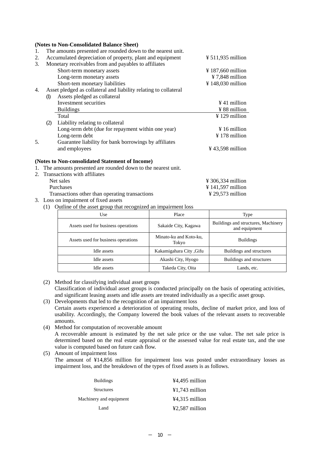|    | (Notes to Non-Consondated Balance Sheet)                         |
|----|------------------------------------------------------------------|
|    | The amounts presented are rounded down to the nearest unit.      |
| 2. | Accumulated depreciation of property, plant and equipment        |
| 3. | Monetary receivables from and payables to affiliates             |
|    | Short-term monetary assets                                       |
|    | Long-term monetary assets                                        |
|    | Short-tem monetary liabilities                                   |
| 4. | Asset pledged as collateral and liability relating to collateral |
|    | Assets pledged as collateral<br>(1)                              |
|    | Investment securities                                            |

|    |     | Investment securities                                 | $\angle 41$ million          |
|----|-----|-------------------------------------------------------|------------------------------|
|    |     | <b>Buildings</b>                                      | $\frac{1}{2}$ 88 million     |
|    |     | Total                                                 | $\frac{1}{2}$ 129 million    |
|    | (2) | Liability relating to collateral                      |                              |
|    |     | Long-term debt (due for repayment within one year)    | $\frac{1}{2}$ 16 million     |
|    |     | Long-term debt                                        | $\frac{1}{2}$ 178 million    |
| 5. |     | Guarantee liability for bank borrowings by affiliates |                              |
|    |     | and employees                                         | $\frac{1}{2}$ 43,598 million |

# **(Notes to Non-consolidated Statement of Income)**

**(Notes to Non-Consolidated Balance Sheet)** 

1. The amounts presented are rounded down to the nearest unit.

- 2. Transactions with affiliates
	- Net sales  $\frac{4}{306.334}$  million Purchases  $\frac{4}{141.597}$  million Transactions other than operating transactions  $\frac{4}{29,573}$  million
- 3. Loss on impairment of fixed assets
	- (1) Outline of the asset group that recognized an impairment loss

| Use                                                                    | Place                    | Type                                                 |  |
|------------------------------------------------------------------------|--------------------------|------------------------------------------------------|--|
| Assets used for business operations                                    | Sakaide City, Kagawa     | Buildings and structures, Machinery<br>and equipment |  |
| Minato-ku and Koto-ku,<br>Assets used for business operations<br>Tokyo |                          | <b>Buildings</b>                                     |  |
| Idle assets                                                            | Kakamigahara City , Gifu | Buildings and structures                             |  |
| Idle assets                                                            | Akashi City, Hyogo       | Buildings and structures                             |  |
| Idle assets                                                            | Takeda City, Oita        | Lands, etc.                                          |  |

 $\frac{125}{11,935}$  million

 $\frac{12}{187,660}$  million  $\frac{1}{2}$  7,848 million  $\frac{1}{2}$  148,030 million

(2) Method for classifying individual asset groups

Classification of individual asset groups is conducted principally on the basis of operating activities, and significant leasing assets and idle assets are treated individually as a specific asset group.

- (3) Developments that led to the recognition of an impairment loss Certain assets experienced a deterioration of operating results, decline of market price, and loss of usability. Accordingly, the Company lowered the book values of the relevant assets to recoverable amounts.
- (4) Method for computation of recoverable amount A recoverable amount is estimated by the net sale price or the use value. The net sale price is

determined based on the real estate appraisal or the assessed value for real estate tax, and the use value is computed based on future cash flow. (5) Amount of impairment loss

The amount of ¥14,856 million for impairment loss was posted under extraordinary losses as impairment loss, and the breakdown of the types of fixed assets is as follows.

| <b>Buildings</b>        | $44.495$ million         |
|-------------------------|--------------------------|
| <b>Structures</b>       | $\text{\#1,743}$ million |
| Machinery and equipment | $44,315$ million         |
| Land                    | $42,587$ million         |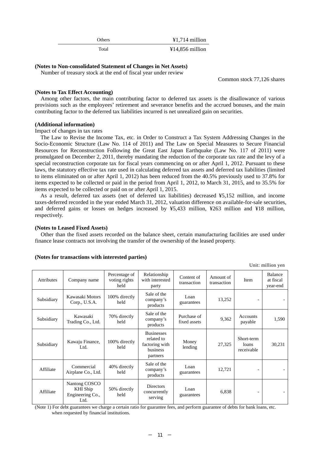Others **¥1,714 million** 

Total  $\text{Y14,856 million}$ 

# **(Notes to Non-consolidated Statement of Changes in Net Assets)**

Number of treasury stock at the end of fiscal year under review

Common stock 77,126 shares

Unit: million yen

# **(Notes to Tax Effect Accounting)**

Among other factors, the main contributing factor to deferred tax assets is the disallowance of various provisions such as the employees' retirement and severance benefits and the accrued bonuses, and the main contributing factor to the deferred tax liabilities incurred is net unrealized gain on securities.

### **(Additional information)**

Impact of changes in tax rates

The Law to Revise the Income Tax, etc. in Order to Construct a Tax System Addressing Changes in the Socio-Economic Structure (Law No. 114 of 2011) and The Law on Special Measures to Secure Financial Resources for Reconstruction Following the Great East Japan Earthquake (Law No. 117 of 2011) were promulgated on December 2, 2011, thereby mandating the reduction of the corporate tax rate and the levy of a special reconstruction corporate tax for fiscal years commencing on or after April 1, 2012. Pursuant to these laws, the statutory effective tax rate used in calculating deferred tax assets and deferred tax liabilities (limited to items eliminated on or after April 1, 2012) has been reduced from the 40.5% previously used to 37.8% for items expected to be collected or paid in the period from April 1, 2012, to March 31, 2015, and to 35.5% for items expected to be collected or paid on or after April 1, 2015.

As a result, deferred tax assets (net of deferred tax liabilities) decreased ¥5,152 million, and income taxes-deferred recorded in the year ended March 31, 2012, valuation difference on available-for-sale securities, and deferred gains or losses on hedges increased by ¥5,433 million, ¥263 million and ¥18 million, respectively.

## **(Notes to Leased Fixed Assets)**

Other than the fixed assets recorded on the balance sheet, certain manufacturing facilities are used under finance lease contracts not involving the transfer of the ownership of the leased property.

|                   |                                                       |                                        |                                                                           |                             |                          |                                   | UTHE HILLION YEA                        |
|-------------------|-------------------------------------------------------|----------------------------------------|---------------------------------------------------------------------------|-----------------------------|--------------------------|-----------------------------------|-----------------------------------------|
| <b>Attributes</b> | Company name                                          | Percentage of<br>voting rights<br>held | Relationship<br>with interested<br>party                                  | Content of<br>transaction   | Amount of<br>transaction | Item                              | <b>Balance</b><br>at fiscal<br>year-end |
| Subsidiary        | Kawasaki Motors<br>Corp., U.S.A.                      | 100% directly<br>held                  | Sale of the<br>company's<br>products                                      | Loan<br>guarantees          | 13,252                   |                                   |                                         |
| Subsidiary        | Kawasaki<br>Trading Co., Ltd.                         | 70% directly<br>held                   | Sale of the<br>company's<br>products                                      | Purchase of<br>fixed assets | 9,362                    | Accounts<br>payable               | 1,590                                   |
| Subsidiary        | Kawaju Finance,<br>Ltd.                               | 100% directly<br>held                  | <b>Businesses</b><br>related to<br>factoring with<br>business<br>partners | Money<br>lending            | 27,325                   | Short-term<br>loans<br>receivable | 30,231                                  |
| Affiliate         | Commercial<br>Airplane Co., Ltd.                      | 40% directly<br>held                   | Sale of the<br>company's<br>products                                      | Loan<br>guarantees          | 12,721                   |                                   |                                         |
| Affiliate         | Nantong COSCO<br>KHI Ship<br>Engineering Co.,<br>Ltd. | 50% directly<br>held                   | <b>Directors</b><br>concurrently<br>serving                               | Loan<br>guarantees          | 6,838                    |                                   |                                         |

## **(Notes for transactions with interested parties)**

(Note 1) For debt guarantees we charge a certain ratio for guarantee fees, and perform guarantee of debts for bank loans, etc. when requested by financial institutions.